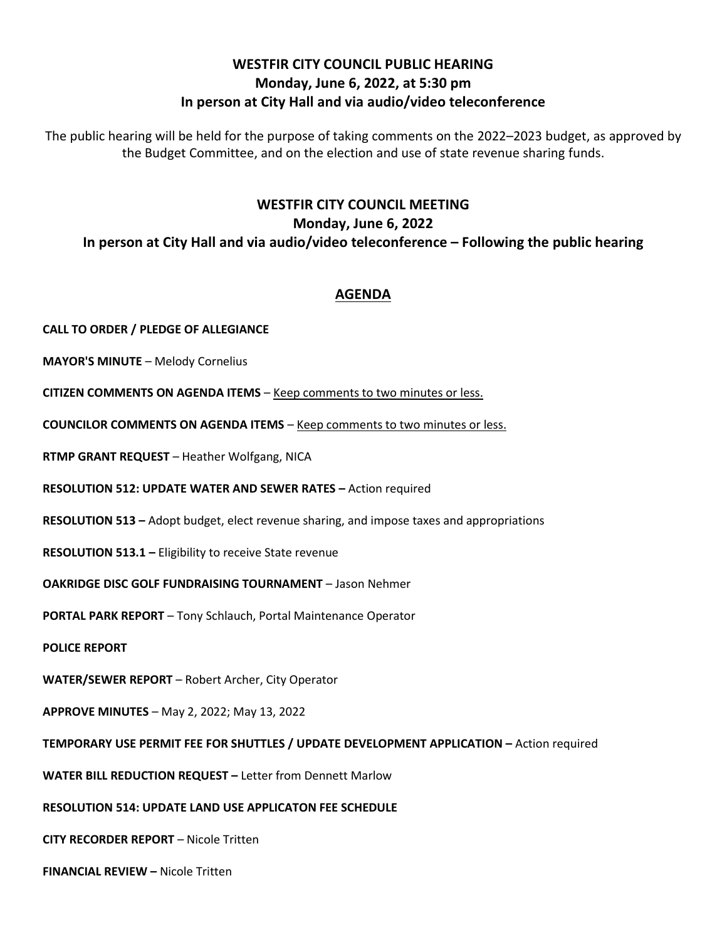### **WESTFIR CITY COUNCIL PUBLIC HEARING Monday, June 6, 2022, at 5:30 pm In person at City Hall and via audio/video teleconference**

The public hearing will be held for the purpose of taking comments on the 2022–2023 budget, as approved by the Budget Committee, and on the election and use of state revenue sharing funds.

# **WESTFIR CITY COUNCIL MEETING Monday, June 6, 2022 In person at City Hall and via audio/video teleconference – Following the public hearing**

### **AGENDA**

**CALL TO ORDER / PLEDGE OF ALLEGIANCE**

**MAYOR'S MINUTE** – Melody Cornelius

**CITIZEN COMMENTS ON AGENDA ITEMS** – Keep comments to two minutes or less.

**COUNCILOR COMMENTS ON AGENDA ITEMS** – Keep comments to two minutes or less.

**RTMP GRANT REQUEST** – Heather Wolfgang, NICA

**RESOLUTION 512: UPDATE WATER AND SEWER RATES –** Action required

**RESOLUTION 513 –** Adopt budget, elect revenue sharing, and impose taxes and appropriations

**RESOLUTION 513.1 –** Eligibility to receive State revenue

**OAKRIDGE DISC GOLF FUNDRAISING TOURNAMENT** – Jason Nehmer

**PORTAL PARK REPORT** – Tony Schlauch, Portal Maintenance Operator

**POLICE REPORT**

**WATER/SEWER REPORT** – Robert Archer, City Operator

**APPROVE MINUTES** – May 2, 2022; May 13, 2022

**TEMPORARY USE PERMIT FEE FOR SHUTTLES / UPDATE DEVELOPMENT APPLICATION –** Action required

**WATER BILL REDUCTION REQUEST –** Letter from Dennett Marlow

**RESOLUTION 514: UPDATE LAND USE APPLICATON FEE SCHEDULE**

**CITY RECORDER REPORT** – Nicole Tritten

**FINANCIAL REVIEW –** Nicole Tritten